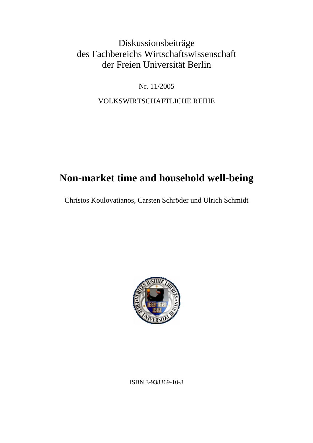## Diskussionsbeiträge des Fachbereichs Wirtschaftswissenschaft der Freien Universität Berlin

Nr. 11/2005

VOLKSWIRTSCHAFTLICHE REIHE

## **Non-market time and household well-being**

Christos Koulovatianos, Carsten Schröder und Ulrich Schmidt



ISBN 3-938369-10-8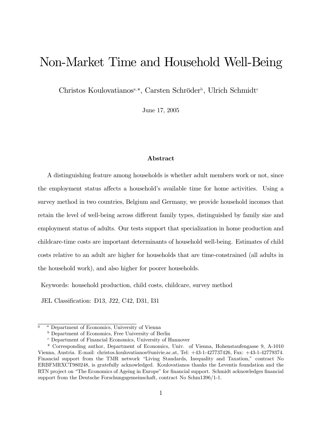# Non-Market Time and Household Well-Being

Christos Koulovatianos<sup>a,\*</sup>, Carsten Schröder<sup>b</sup>, Ulrich Schmidt<sup>c</sup>

June 17, 2005

#### Abstract

A distinguishing feature among households is whether adult members work or not, since the employment status affects a household's available time for home activities. Using a survey method in two countries, Belgium and Germany, we provide household incomes that retain the level of well-being across different family types, distinguished by family size and employment status of adults. Our tests support that specialization in home production and childcare-time costs are important determinants of household well-being. Estimates of child costs relative to an adult are higher for households that are time-constrained (all adults in the household work), and also higher for poorer households.

Keywords: household production, child costs, childcare, survey method

JEL Classification: D13, J22, C42, D31, I31

 $\overline{0}$  a Department of Economics, University of Vienna

 $<sup>b</sup>$  Department of Economics, Free University of Berlin</sup>

<sup>c</sup> Department of Financial Economics, University of Hannover

<sup>\*</sup> Corresponding author, Department of Economics, Univ. of Vienna, Hohenstaufengasse 9, A-1010 Vienna, Austria. E-mail: christos.koulovatianos@univie.ac.at, Tel: +43-1-427737426, Fax: +43-1-42779374. Financial support from the TMR network "Living Standards, Inequality and Taxation," contract No ERBFMRXCT980248, is gratefully acknowledged. Koulovatianos thanks the Leventis foundation and the RTN project on "The Economics of Ageing in Europe" for financial support. Schmidt acknowledges financial support from the Deutsche Forschungsgemeinschaft, contract No Schm1396/1-1.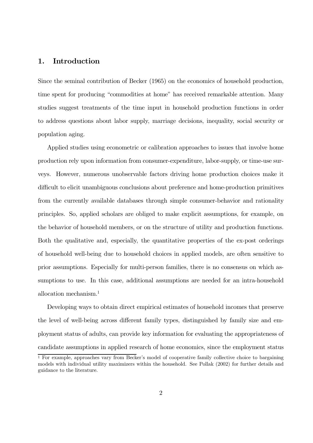#### 1. Introduction

Since the seminal contribution of Becker (1965) on the economics of household production, time spent for producing "commodities at home" has received remarkable attention. Many studies suggest treatments of the time input in household production functions in order to address questions about labor supply, marriage decisions, inequality, social security or population aging.

Applied studies using econometric or calibration approaches to issues that involve home production rely upon information from consumer-expenditure, labor-supply, or time-use surveys. However, numerous unobservable factors driving home production choices make it difficult to elicit unambiguous conclusions about preference and home-production primitives from the currently available databases through simple consumer-behavior and rationality principles. So, applied scholars are obliged to make explicit assumptions, for example, on the behavior of household members, or on the structure of utility and production functions. Both the qualitative and, especially, the quantitative properties of the ex-post orderings of household well-being due to household choices in applied models, are often sensitive to prior assumptions. Especially for multi-person families, there is no consensus on which assumptions to use. In this case, additional assumptions are needed for an intra-household allocation mechanism.<sup>1</sup>

Developing ways to obtain direct empirical estimates of household incomes that preserve the level of well-being across different family types, distinguished by family size and employment status of adults, can provide key information for evaluating the appropriateness of candidate assumptions in applied research of home economics, since the employment status

<sup>1</sup> For example, approaches vary from Becker's model of cooperative family collective choice to bargaining models with individual utility maximizers within the household. See Pollak (2002) for further details and guidance to the literature.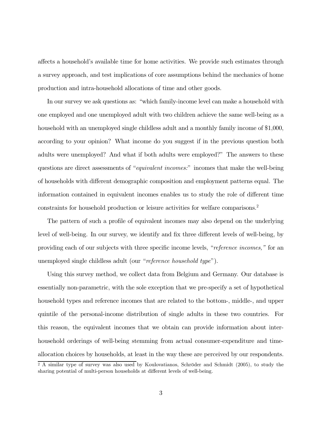affects a household's available time for home activities. We provide such estimates through a survey approach, and test implications of core assumptions behind the mechanics of home production and intra-household allocations of time and other goods.

In our survey we ask questions as: "which family-income level can make a household with one employed and one unemployed adult with two children achieve the same well-being as a household with an unemployed single childless adult and a monthly family income of \$1,000, according to your opinion? What income do you suggest if in the previous question both adults were unemployed? And what if both adults were employed?" The answers to these questions are direct assessments of "equivalent incomes:" incomes that make the well-being of households with different demographic composition and employment patterns equal. The information contained in equivalent incomes enables us to study the role of different time constraints for household production or leisure activities for welfare comparisons.<sup>2</sup>

The pattern of such a profile of equivalent incomes may also depend on the underlying level of well-being. In our survey, we identify and fix three different levels of well-being, by providing each of our subjects with three specific income levels, "reference incomes," for an unemployed single childless adult (our "reference household type").

Using this survey method, we collect data from Belgium and Germany. Our database is essentially non-parametric, with the sole exception that we pre-specify a set of hypothetical household types and reference incomes that are related to the bottom-, middle-, and upper quintile of the personal-income distribution of single adults in these two countries. For this reason, the equivalent incomes that we obtain can provide information about interhousehold orderings of well-being stemming from actual consumer-expenditure and timeallocation choices by households, at least in the way these are perceived by our respondents.

<sup>&</sup>lt;sup>2</sup> A similar type of survey was also used by Koulovatianos, Schröder and Schmidt (2005), to study the sharing potential of multi-person households at different levels of well-being.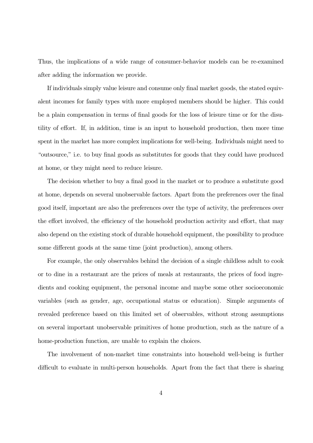Thus, the implications of a wide range of consumer-behavior models can be re-examined after adding the information we provide.

If individuals simply value leisure and consume only final market goods, the stated equivalent incomes for family types with more employed members should be higher. This could be a plain compensation in terms of final goods for the loss of leisure time or for the disutility of effort. If, in addition, time is an input to household production, then more time spent in the market has more complex implications for well-being. Individuals might need to "outsource," i.e. to buy final goods as substitutes for goods that they could have produced at home, or they might need to reduce leisure.

The decision whether to buy a final good in the market or to produce a substitute good at home, depends on several unobservable factors. Apart from the preferences over the final good itself, important are also the preferences over the type of activity, the preferences over the effort involved, the efficiency of the household production activity and effort, that may also depend on the existing stock of durable household equipment, the possibility to produce some different goods at the same time (joint production), among others.

For example, the only observables behind the decision of a single childless adult to cook or to dine in a restaurant are the prices of meals at restaurants, the prices of food ingredients and cooking equipment, the personal income and maybe some other socioeconomic variables (such as gender, age, occupational status or education). Simple arguments of revealed preference based on this limited set of observables, without strong assumptions on several important unobservable primitives of home production, such as the nature of a home-production function, are unable to explain the choices.

The involvement of non-market time constraints into household well-being is further difficult to evaluate in multi-person households. Apart from the fact that there is sharing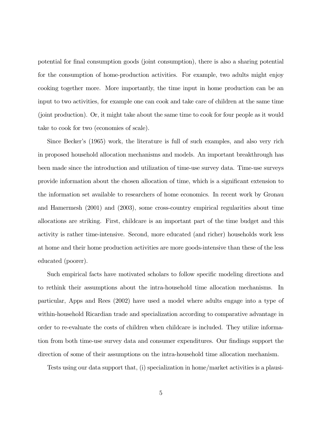potential for final consumption goods (joint consumption), there is also a sharing potential for the consumption of home-production activities. For example, two adults might enjoy cooking together more. More importantly, the time input in home production can be an input to two activities, for example one can cook and take care of children at the same time (joint production). Or, it might take about the same time to cook for four people as it would take to cook for two (economies of scale).

Since Becker's (1965) work, the literature is full of such examples, and also very rich in proposed household allocation mechanisms and models. An important breakthrough has been made since the introduction and utilization of time-use survey data. Time-use surveys provide information about the chosen allocation of time, which is a significant extension to the information set available to researchers of home economics. In recent work by Gronau and Hamermesh (2001) and (2003), some cross-country empirical regularities about time allocations are striking. First, childcare is an important part of the time budget and this activity is rather time-intensive. Second, more educated (and richer) households work less at home and their home production activities are more goods-intensive than these of the less educated (poorer).

Such empirical facts have motivated scholars to follow specific modeling directions and to rethink their assumptions about the intra-household time allocation mechanisms. In particular, Apps and Rees (2002) have used a model where adults engage into a type of within-household Ricardian trade and specialization according to comparative advantage in order to re-evaluate the costs of children when childcare is included. They utilize information from both time-use survey data and consumer expenditures. Our findings support the direction of some of their assumptions on the intra-household time allocation mechanism.

Tests using our data support that, (i) specialization in home/market activities is a plausi-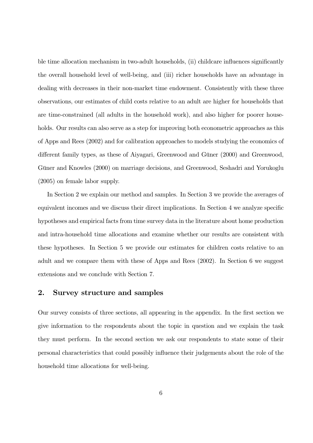ble time allocation mechanism in two-adult households, (ii) childcare influences significantly the overall household level of well-being, and (iii) richer households have an advantage in dealing with decreases in their non-market time endowment. Consistently with these three observations, our estimates of child costs relative to an adult are higher for households that are time-constrained (all adults in the household work), and also higher for poorer households. Our results can also serve as a step for improving both econometric approaches as this of Apps and Rees (2002) and for calibration approaches to models studying the economics of different family types, as these of Aiyagari, Greenwood and Güner (2000) and Greenwood, Güner and Knowles (2000) on marriage decisions, and Greenwood, Seshadri and Yorukoglu (2005) on female labor supply.

In Section 2 we explain our method and samples. In Section 3 we provide the averages of equivalent incomes and we discuss their direct implications. In Section 4 we analyze specific hypotheses and empirical facts from time survey data in the literature about home production and intra-household time allocations and examine whether our results are consistent with these hypotheses. In Section 5 we provide our estimates for children costs relative to an adult and we compare them with these of Apps and Rees (2002). In Section 6 we suggest extensions and we conclude with Section 7.

#### 2. Survey structure and samples

Our survey consists of three sections, all appearing in the appendix. In the first section we give information to the respondents about the topic in question and we explain the task they must perform. In the second section we ask our respondents to state some of their personal characteristics that could possibly influence their judgements about the role of the household time allocations for well-being.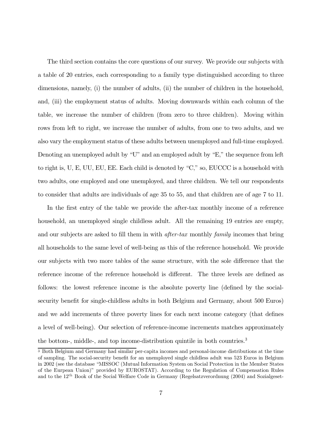The third section contains the core questions of our survey. We provide our subjects with a table of 20 entries, each corresponding to a family type distinguished according to three dimensions, namely, (i) the number of adults, (ii) the number of children in the household, and, (iii) the employment status of adults. Moving downwards within each column of the table, we increase the number of children (from zero to three children). Moving within rows from left to right, we increase the number of adults, from one to two adults, and we also vary the employment status of these adults between unemployed and full-time employed. Denoting an unemployed adult by "U" and an employed adult by "E," the sequence from left to right is, U, E, UU, EU, EE. Each child is denoted by "C," so, EUCCC is a household with two adults, one employed and one unemployed, and three children. We tell our respondents to consider that adults are individuals of age 35 to 55, and that children are of age 7 to 11.

In the first entry of the table we provide the after-tax monthly income of a reference household, an unemployed single childless adult. All the remaining 19 entries are empty, and our subjects are asked to fill them in with after-tax monthly family incomes that bring all households to the same level of well-being as this of the reference household. We provide our subjects with two more tables of the same structure, with the sole difference that the reference income of the reference household is different. The three levels are defined as follows: the lowest reference income is the absolute poverty line (defined by the socialsecurity benefit for single-childless adults in both Belgium and Germany, about 500 Euros) and we add increments of three poverty lines for each next income category (that defines a level of well-being). Our selection of reference-income increments matches approximately the bottom-, middle-, and top income-distribution quintile in both countries.<sup>3</sup>

<sup>3</sup> Both Belgium and Germany had similar per-capita incomes and personal-income distributions at the time of sampling. The social-security benefit for an unemployed single childless adult was 523 Euros in Belgium in 2002 (see the database "MISSOC (Mutual Information System on Social Protection in the Member States of the Eurpean Union)" provided by EUROSTAT). According to the Regulation of Compensation Rules and to the 12th Book of the Social Welfare Code in Germany (Regelsatzverordnung (2004) and Sozialgeset-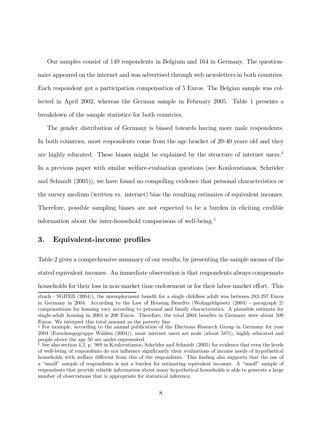Our samples consist of 149 respondents in Belgium and 164 in Germany. The questionnaire appeared on the internet and was advertised through web newsletters in both countries. Each respondent got a participation compensation of 5 Euros. The Belgian sample was collected in April 2002, whereas the German sample in February 2005. Table 1 presents a breakdown of the sample statistics for both countries.

The gender distribution of Germany is biased towards having more male respondents. In both countries, most respondents come from the age bracket of 20-40 years old and they are highly educated. These biases might be explained by the structure of internet users.<sup>4</sup> In a previous paper with similar welfare-evaluation questions (see Koulovatianos, Schröder and Schmidt (2005)), we have found no compelling evidence that personal characteristics or the survey medium (written vs. internet) bias the resulting estimates of equivalent incomes. Therefore, possible sampling biases are not expected to be a burden in eliciting credible information about the inter-household comparisons of well-being.<sup>5</sup>

### 3. Equivalent-income profiles

Table 2 gives a comprehensive summary of our results, by presenting the sample means of the

stated equivalent incomes. An immediate observation is that respondents always compensate

households for their loss in non-market time endowment or for their labor-market effort. This

zbuch - SGBXII (2004)), the unemployment benefit for a single childless adult was between 282-297 Euros in Germany in 2004. According to the Law of Housing Benefits (Wohngeldgesetz (2004) - paragraph 2) compensations for housing vary according to personal and family characteristics. A plausible estimate for single-adult housing in 2004 is 200 Euros. Therefore, the total 2004 benefits in Germany were about 500 Euros. We interpret this total amount as the poverty line.

<sup>&</sup>lt;sup>4</sup> For example, according to the annual publication of the Elections Research Group in Germany for year 2004 (Forschungsgruppe Wahlen (2004)), most internet users are male (about 58%), highly educated and people above the age 50 are under-represented.

<sup>&</sup>lt;sup>5</sup> See also section 4.2, p. 989 in Koulovatianos, Schröder and Schmidt (2005) for evidence that even the levels of well-being of respondents do not influence significantly their evaluations of income needs of hypothetical households with welfare different from this of the respondents. This finding also supports that the use of a "small" sample of respondents is not a burden for estimating equivalent incomes. A "small" sample of respondents that provide reliable information about many hypothetical households is able to generate a large number of observations that is appropriate for statistical inference.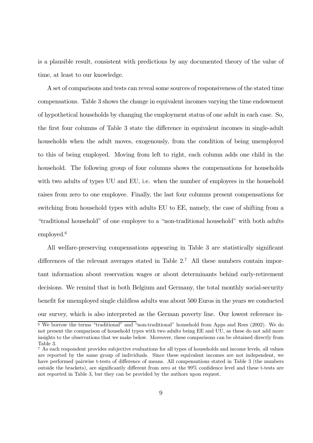is a plausible result, consistent with predictions by any documented theory of the value of time, at least to our knowledge.

A set of comparisons and tests can reveal some sources of responsiveness of the stated time compensations. Table 3 shows the change in equivalent incomes varying the time endowment of hypothetical households by changing the employment status of one adult in each case. So, the first four columns of Table 3 state the difference in equivalent incomes in single-adult households when the adult moves, exogenously, from the condition of being unemployed to this of being employed. Moving from left to right, each column adds one child in the household. The following group of four columns shows the compensations for households with two adults of types UU and EU, i.e. when the number of employees in the household raises from zero to one employee. Finally, the last four columns present compensations for switching from household types with adults EU to EE, namely, the case of shifting from a "traditional household" of one employee to a "non-traditional household" with both adults employed.<sup>6</sup>

All welfare-preserving compensations appearing in Table 3 are statistically significant differences of the relevant averages stated in Table  $2<sup>7</sup>$  All these numbers contain important information about reservation wages or about determinants behind early-retirement decisions. We remind that in both Belgium and Germany, the total monthly social-security benefit for unemployed single childless adults was about 500 Euros in the years we conducted our survey, which is also interpreted as the German poverty line. Our lowest reference in-

 $\overline{6}$  We borrow the terms "traditional" and "non-traditional" household from Apps and Rees (2002). We do not present the comparison of household types with two adults being EE and UU, as these do not add more insights to the observations that we make below. Moreover, these comparisons can be obtained directly from Table 3.

<sup>7</sup> As each respondent provides subjective evaluations for all types of households and income levels, all values are reported by the same group of individuals. Since these equivalent incomes are not independent, we have performed pairwise t-tests of difference of means. All compensations stated in Table 3 (the numbers outside the brackets), are significantly different from zero at the 99% confidence level and these t-tests are not reported in Table 3, but they can be provided by the authors upon request.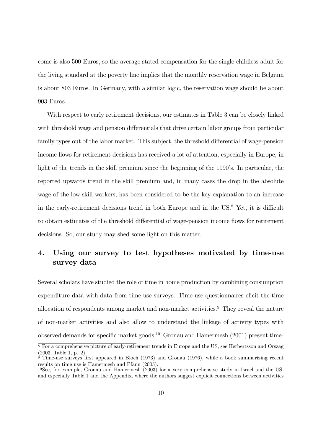come is also 500 Euros, so the average stated compensation for the single-childless adult for the living standard at the poverty line implies that the monthly reservation wage in Belgium is about 803 Euros. In Germany, with a similar logic, the reservation wage should be about 903 Euros.

With respect to early retirement decisions, our estimates in Table 3 can be closely linked with threshold wage and pension differentials that drive certain labor groups from particular family types out of the labor market. This subject, the threshold differential of wage-pension income flows for retirement decisions has received a lot of attention, especially in Europe, in light of the trends in the skill premium since the beginning of the 1990's. In particular, the reported upwards trend in the skill premium and, in many cases the drop in the absolute wage of the low-skill workers, has been considered to be the key explanation to an increase in the early-retirement decisions trend in both Europe and in the US.<sup>8</sup> Yet, it is difficult to obtain estimates of the threshold differential of wage-pension income flows for retirement decisions. So, our study may shed some light on this matter.

## 4. Using our survey to test hypotheses motivated by time-use survey data

Several scholars have studied the role of time in home production by combining consumption expenditure data with data from time-use surveys. Time-use questionnaires elicit the time allocation of respondents among market and non-market activities.<sup>9</sup> They reveal the nature of non-market activities and also allow to understand the linkage of activity types with observed demands for specific market goods.<sup>10</sup> Gronau and Hamermesh (2001) present time-

<sup>&</sup>lt;sup>8</sup> For a comprehensive picture of early-retirement trends in Europe and the US, see Herbertsson and Orszag (2003, Table 1, p. 2).

 $9$  Time-use surveys first appeared in Bloch (1973) and Gronau (1976), while a book summarizing recent results on time use is Hamermesh and Pfann (2005).

<sup>&</sup>lt;sup>10</sup>See, for example, Gronau and Hamermesh  $(2003)$  for a very comprehensive study in Israel and the US, and especially Table 1 and the Appendix, where the authors suggest explicit connections between activities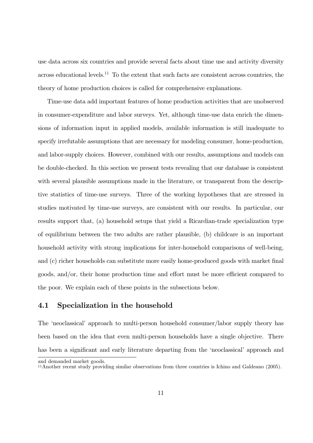use data across six countries and provide several facts about time use and activity diversity across educational levels.<sup>11</sup> To the extent that such facts are consistent across countries, the theory of home production choices is called for comprehensive explanations.

Time-use data add important features of home production activities that are unobserved in consumer-expenditure and labor surveys. Yet, although time-use data enrich the dimensions of information input in applied models, available information is still inadequate to specify irrefutable assumptions that are necessary for modeling consumer, home-production, and labor-supply choices. However, combined with our results, assumptions and models can be double-checked. In this section we present tests revealing that our database is consistent with several plausible assumptions made in the literature, or transparent from the descriptive statistics of time-use surveys. Three of the working hypotheses that are stressed in studies motivated by time-use surveys, are consistent with our results. In particular, our results support that, (a) household setups that yield a Ricardian-trade specialization type of equilibrium between the two adults are rather plausible, (b) childcare is an important household activity with strong implications for inter-household comparisons of well-being, and (c) richer households can substitute more easily home-produced goods with market final goods, and/or, their home production time and effort must be more efficient compared to the poor. We explain each of these points in the subsections below.

#### 4.1 Specialization in the household

The 'neoclassical' approach to multi-person household consumer/labor supply theory has been based on the idea that even multi-person households have a single objective. There has been a significant and early literature departing from the 'neoclassical' approach and

and demanded market goods.

<sup>11</sup>Another recent study providing similar observations from three countries is Ichino and Galdeano (2005).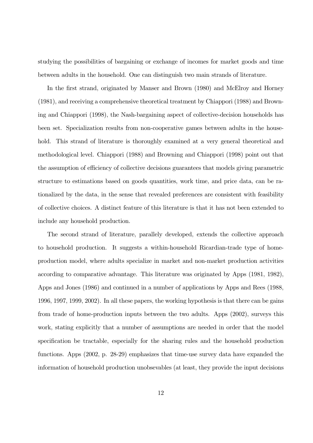studying the possibilities of bargaining or exchange of incomes for market goods and time between adults in the household. One can distinguish two main strands of literature.

In the first strand, originated by Manser and Brown (1980) and McElroy and Horney (1981), and receiving a comprehensive theoretical treatment by Chiappori (1988) and Browning and Chiappori (1998), the Nash-bargaining aspect of collective-decision households has been set. Specialization results from non-cooperative games between adults in the household. This strand of literature is thoroughly examined at a very general theoretical and methodological level. Chiappori (1988) and Browning and Chiappori (1998) point out that the assumption of efficiency of collective decisions guarantees that models giving parametric structure to estimations based on goods quantities, work time, and price data, can be rationalized by the data, in the sense that revealed preferences are consistent with feasibility of collective choices. A distinct feature of this literature is that it has not been extended to include any household production.

The second strand of literature, parallely developed, extends the collective approach to household production. It suggests a within-household Ricardian-trade type of homeproduction model, where adults specialize in market and non-market production activities according to comparative advantage. This literature was originated by Apps (1981, 1982), Apps and Jones (1986) and continued in a number of applications by Apps and Rees (1988, 1996, 1997, 1999, 2002). In all these papers, the working hypothesis is that there can be gains from trade of home-production inputs between the two adults. Apps (2002), surveys this work, stating explicitly that a number of assumptions are needed in order that the model specification be tractable, especially for the sharing rules and the household production functions. Apps (2002, p. 28-29) emphasizes that time-use survey data have expanded the information of household production unobsevables (at least, they provide the input decisions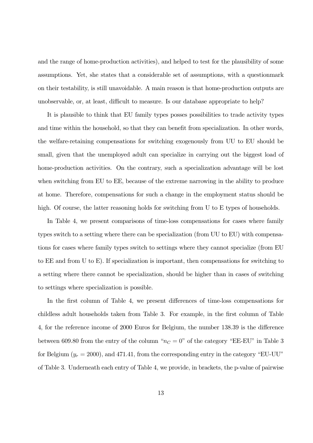and the range of home-production activities), and helped to test for the plausibility of some assumptions. Yet, she states that a considerable set of assumptions, with a questionmark on their testability, is still unavoidable. A main reason is that home-production outputs are unobservable, or, at least, difficult to measure. Is our database appropriate to help?

It is plausible to think that EU family types posses possibilities to trade activity types and time within the household, so that they can benefit from specialization. In other words, the welfare-retaining compensations for switching exogenously from UU to EU should be small, given that the unemployed adult can specialize in carrying out the biggest load of home-production activities. On the contrary, such a specialization advantage will be lost when switching from EU to EE, because of the extreme narrowing in the ability to produce at home. Therefore, compensations for such a change in the employment status should be high. Of course, the latter reasoning holds for switching from U to E types of households.

In Table 4, we present comparisons of time-loss compensations for cases where family types switch to a setting where there can be specialization (from UU to EU) with compensations for cases where family types switch to settings where they cannot specialize (from EU to EE and from U to E). If specialization is important, then compensations for switching to a setting where there cannot be specialization, should be higher than in cases of switching to settings where specialization is possible.

In the first column of Table 4, we present differences of time-loss compensations for childless adult households taken from Table 3. For example, in the first column of Table 4, for the reference income of 2000 Euros for Belgium, the number 138.39 is the difference between 609.80 from the entry of the column " $n<sub>C</sub> = 0$ " of the category "EE-EU" in Table 3 for Belgium  $(y_r = 2000)$ , and 471.41, from the corresponding entry in the category "EU-UU" of Table 3. Underneath each entry of Table 4, we provide, in brackets, the p-value of pairwise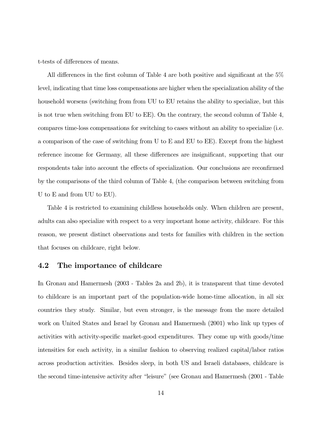t-tests of differences of means.

All differences in the first column of Table 4 are both positive and significant at the 5% level, indicating that time loss compensations are higher when the specialization ability of the household worsens (switching from from UU to EU retains the ability to specialize, but this is not true when switching from EU to EE). On the contrary, the second column of Table 4, compares time-loss compensations for switching to cases without an ability to specialize (i.e. a comparison of the case of switching from U to E and EU to EE). Except from the highest reference income for Germany, all these differences are insignificant, supporting that our respondents take into account the effects of specialization. Our conclusions are reconfirmed by the comparisons of the third column of Table 4, (the comparison between switching from U to E and from UU to EU).

Table 4 is restricted to examining childless households only. When children are present, adults can also specialize with respect to a very important home activity, childcare. For this reason, we present distinct observations and tests for families with children in the section that focuses on childcare, right below.

### 4.2 The importance of childcare

In Gronau and Hamermesh (2003 - Tables 2a and 2b), it is transparent that time devoted to childcare is an important part of the population-wide home-time allocation, in all six countries they study. Similar, but even stronger, is the message from the more detailed work on United States and Israel by Gronau and Hamermesh (2001) who link up types of activities with activity-specific market-good expenditures. They come up with goods/time intensities for each activity, in a similar fashion to observing realized capital/labor ratios across production activities. Besides sleep, in both US and Israeli databases, childcare is the second time-intensive activity after "leisure" (see Gronau and Hamermesh (2001 - Table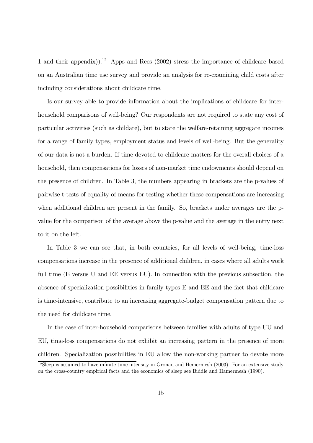1 and their appendix).<sup>12</sup> Apps and Rees  $(2002)$  stress the importance of childcare based on an Australian time use survey and provide an analysis for re-examining child costs after including considerations about childcare time.

Is our survey able to provide information about the implications of childcare for interhousehold comparisons of well-being? Our respondents are not required to state any cost of particular activities (such as childare), but to state the welfare-retaining aggregate incomes for a range of family types, employment status and levels of well-being. But the generality of our data is not a burden. If time devoted to childcare matters for the overall choices of a household, then compensations for losses of non-market time endowments should depend on the presence of children. In Table 3, the numbers appearing in brackets are the p-values of pairwise t-tests of equality of means for testing whether these compensations are increasing when additional children are present in the family. So, brackets under averages are the pvalue for the comparison of the average above the p-value and the average in the entry next to it on the left.

In Table 3 we can see that, in both countries, for all levels of well-being, time-loss compensations increase in the presence of additional children, in cases where all adults work full time (E versus U and EE versus EU). In connection with the previous subsection, the absence of specialization possibilities in family types E and EE and the fact that childcare is time-intensive, contribute to an increasing aggregate-budget compensation pattern due to the need for childcare time.

In the case of inter-household comparisons between families with adults of type UU and EU, time-loss compensations do not exhibit an increasing pattern in the presence of more children. Specialization possibilities in EU allow the non-working partner to devote more <sup>12</sup>Sleep is assumed to have infinite time intensity in Gronau and Hemermesh (2003). For an extensive study

on the cross-country empirical facts and the economics of sleep see Biddle and Hamermesh (1990).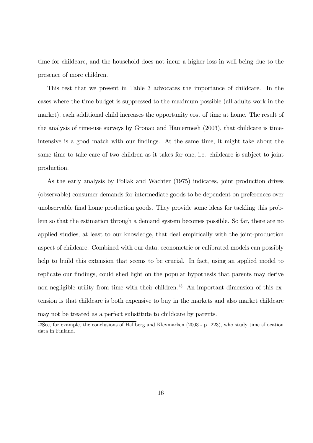time for childcare, and the household does not incur a higher loss in well-being due to the presence of more children.

This test that we present in Table 3 advocates the importance of childcare. In the cases where the time budget is suppressed to the maximum possible (all adults work in the market), each additional child increases the opportunity cost of time at home. The result of the analysis of time-use surveys by Gronau and Hamermesh (2003), that childcare is timeintensive is a good match with our findings. At the same time, it might take about the same time to take care of two children as it takes for one, i.e. childcare is subject to joint production.

As the early analysis by Pollak and Wachter (1975) indicates, joint production drives (observable) consumer demands for intermediate goods to be dependent on preferences over unobservable final home production goods. They provide some ideas for tackling this problem so that the estimation through a demand system becomes possible. So far, there are no applied studies, at least to our knowledge, that deal empirically with the joint-production aspect of childcare. Combined with our data, econometric or calibrated models can possibly help to build this extension that seems to be crucial. In fact, using an applied model to replicate our findings, could shed light on the popular hypothesis that parents may derive non-negligible utility from time with their children.<sup>13</sup> An important dimension of this extension is that childcare is both expensive to buy in the markets and also market childcare may not be treated as a perfect substitute to childcare by parents.

<sup>&</sup>lt;sup>13</sup>See, for example, the conclusions of Hallberg and Klevmarken (2003 - p. 223), who study time allocation data in Finland.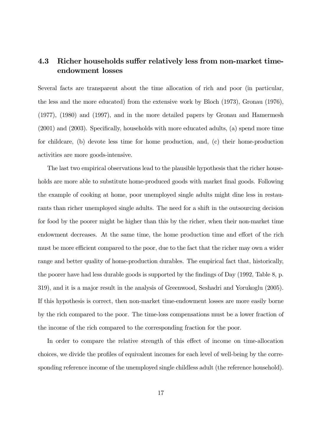## 4.3 Richer households suffer relatively less from non-market timeendowment losses

Several facts are transparent about the time allocation of rich and poor (in particular, the less and the more educated) from the extensive work by Bloch (1973), Gronau (1976), (1977), (1980) and (1997), and in the more detailed papers by Gronau and Hamermesh (2001) and (2003). Specifically, households with more educated adults, (a) spend more time for childcare, (b) devote less time for home production, and, (c) their home-production activities are more goods-intensive.

The last two empirical observations lead to the plausible hypothesis that the richer households are more able to substitute home-produced goods with market final goods. Following the example of cooking at home, poor unemployed single adults might dine less in restaurants than richer unemployed single adults. The need for a shift in the outsourcing decision for food by the poorer might be higher than this by the richer, when their non-market time endowment decreases. At the same time, the home production time and effort of the rich must be more efficient compared to the poor, due to the fact that the richer may own a wider range and better quality of home-production durables. The empirical fact that, historically, the poorer have had less durable goods is supported by the findings of Day (1992, Table 8, p. 319), and it is a major result in the analysis of Greenwood, Seshadri and Yorukoglu (2005). If this hypothesis is correct, then non-market time-endowment losses are more easily borne by the rich compared to the poor. The time-loss compensations must be a lower fraction of the income of the rich compared to the corresponding fraction for the poor.

In order to compare the relative strength of this effect of income on time-allocation choices, we divide the profiles of equivalent incomes for each level of well-being by the corresponding reference income of the unemployed single childless adult (the reference household).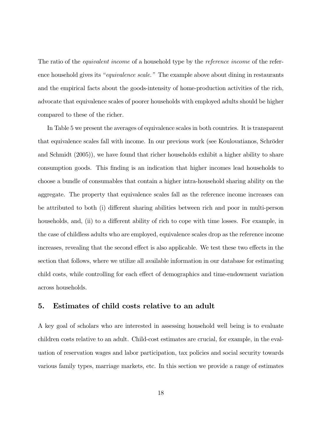The ratio of the *equivalent income* of a household type by the *reference income* of the reference household gives its "equivalence scale." The example above about dining in restaurants and the empirical facts about the goods-intensity of home-production activities of the rich, advocate that equivalence scales of poorer households with employed adults should be higher compared to these of the richer.

In Table 5 we present the averages of equivalence scales in both countries. It is transparent that equivalence scales fall with income. In our previous work (see Koulovatianos, Schröder and Schmidt (2005)), we have found that richer households exhibit a higher ability to share consumption goods. This finding is an indication that higher incomes lead households to choose a bundle of consumables that contain a higher intra-household sharing ability on the aggregate. The property that equivalence scales fall as the reference income increases can be attributed to both (i) different sharing abilities between rich and poor in multi-person households, and, (ii) to a different ability of rich to cope with time losses. For example, in the case of childless adults who are employed, equivalence scales drop as the reference income increases, revealing that the second effect is also applicable. We test these two effects in the section that follows, where we utilize all available information in our database for estimating child costs, while controlling for each effect of demographics and time-endowment variation across households.

#### 5. Estimates of child costs relative to an adult

A key goal of scholars who are interested in assessing household well being is to evaluate children costs relative to an adult. Child-cost estimates are crucial, for example, in the evaluation of reservation wages and labor participation, tax policies and social security towards various family types, marriage markets, etc. In this section we provide a range of estimates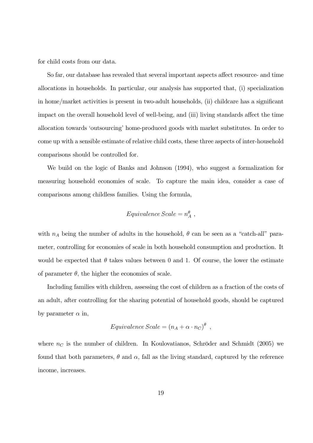for child costs from our data.

So far, our database has revealed that several important aspects affect resource- and time allocations in households. In particular, our analysis has supported that, (i) specialization in home/market activities is present in two-adult households, (ii) childcare has a significant impact on the overall household level of well-being, and (iii) living standards affect the time allocation towards 'outsourcing' home-produced goods with market substitutes. In order to come up with a sensible estimate of relative child costs, these three aspects of inter-household comparisons should be controlled for.

We build on the logic of Banks and Johnson (1994), who suggest a formalization for measuring household economies of scale. To capture the main idea, consider a case of comparisons among childless families. Using the formula,

$$
Equivalence\,Scale = n_A^{\theta} \;,
$$

with  $n_A$  being the number of adults in the household,  $\theta$  can be seen as a "catch-all" parameter, controlling for economies of scale in both household consumption and production. It would be expected that  $\theta$  takes values between 0 and 1. Of course, the lower the estimate of parameter  $\theta$ , the higher the economies of scale.

Including families with children, assessing the cost of children as a fraction of the costs of an adult, after controlling for the sharing potential of household goods, should be captured by parameter  $\alpha$  in,

$$
Equivalence\,Scale = (n_A + \alpha \cdot n_C)^{\theta} ,
$$

where  $n<sub>C</sub>$  is the number of children. In Koulovatianos, Schröder and Schmidt (2005) we found that both parameters,  $\theta$  and  $\alpha$ , fall as the living standard, captured by the reference income, increases.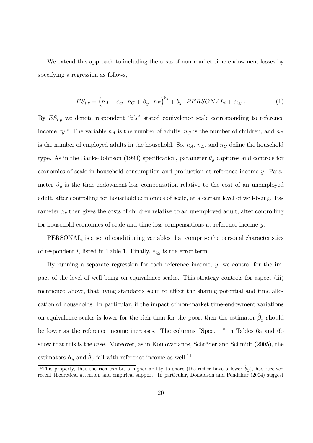We extend this approach to including the costs of non-market time-endowment losses by specifying a regression as follows,

$$
ES_{i,y} = (n_A + \alpha_y \cdot n_C + \beta_y \cdot n_E)^{\theta_y} + b_y \cdot PERSONAL_i + e_{i,y} .
$$
 (1)

By  $ES_{i,y}$  we denote respondent "*i's*" stated equivalence scale corresponding to reference income "y." The variable  $n_A$  is the number of adults,  $n_C$  is the number of children, and  $n_E$ is the number of employed adults in the household. So,  $n_A$ ,  $n_E$ , and  $n_C$  define the household type. As in the Banks-Johnson (1994) specification, parameter  $\theta_y$  captures and controls for economies of scale in household consumption and production at reference income y. Parameter  $\beta_y$  is the time-endowment-loss compensation relative to the cost of an unemployed adult, after controlling for household economies of scale, at a certain level of well-being. Parameter  $\alpha_y$  then gives the costs of children relative to an unemployed adult, after controlling for household economies of scale and time-loss compensations at reference income y.

 $PERSONAL<sub>i</sub>$  is a set of conditioning variables that comprise the personal characteristics of respondent i, listed in Table 1. Finally,  $e_{i,y}$  is the error term.

By running a separate regression for each reference income,  $y$ , we control for the impact of the level of well-being on equivalence scales. This strategy controls for aspect (iii) mentioned above, that living standards seem to affect the sharing potential and time allocation of households. In particular, if the impact of non-market time-endowment variations on equivalence scales is lower for the rich than for the poor, then the estimator  $\beta_y$  should be lower as the reference income increases. The columns "Spec. 1" in Tables 6a and 6b show that this is the case. Moreover, as in Koulovatianos, Schröder and Schmidt (2005), the estimators  $\hat{\alpha}_y$  and  $\hat{\theta}_y$  fall with reference income as well.<sup>14</sup>

<sup>&</sup>lt;sup>14</sup>This property, that the rich exhibit a higher ability to share (the richer have a lower  $\hat{\theta}_y$ ), has received recent theoretical attention and empirical support. In particular, Donaldson and Pendakur (2004) suggest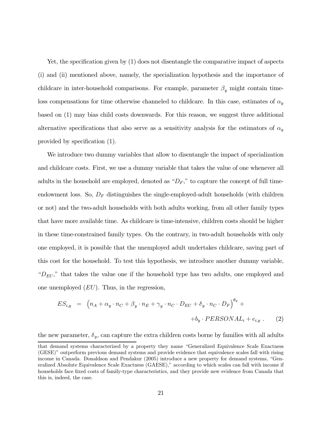Yet, the specification given by (1) does not disentangle the comparative impact of aspects (i) and (ii) mentioned above, namely, the specialization hypothesis and the importance of childcare in inter-household comparisons. For example, parameter  $\beta_y$  might contain timeloss compensations for time otherwise channeled to childcare. In this case, estimates of  $\alpha_y$ based on (1) may bias child costs downwards. For this reason, we suggest three additional alternative specifications that also serve as a sensitivity analysis for the estimators of  $\alpha_y$ provided by specification (1).

We introduce two dummy variables that allow to disentangle the impact of specialization and childcare costs. First, we use a dummy variable that takes the value of one whenever all adults in the household are employed, denoted as " $D_F$ ," to capture the concept of full timeendowment loss. So,  $D_F$  distinguishes the single-employed-adult households (with children or not) and the two-adult households with both adults working, from all other family types that have more available time. As childcare is time-intensive, children costs should be higher in these time-constrained family types. On the contrary, in two-adult households with only one employed, it is possible that the unemployed adult undertakes childcare, saving part of this cost for the household. To test this hypothesis, we introduce another dummy variable, " $D_{EU}$ ," that takes the value one if the household type has two adults, one employed and one unemployed  $(EU)$ . Thus, in the regression,

$$
ES_{i,y} = (n_A + \alpha_y \cdot n_C + \beta_y \cdot n_E + \gamma_y \cdot n_C \cdot D_{EU} + \delta_y \cdot n_C \cdot D_F)^{\theta_y} +
$$
  
+
$$
+b_y \cdot PERSONAL_i + e_{i,y} \t . \t (2)
$$

the new parameter,  $\delta_y$ , can capture the extra children costs borne by families with all adults

that demand systems characterized by a property they name "Generalized Equivalence Scale Exactness (GESE)" outperform previous demand systems and provide evidence that equivalence scales fall with rising income in Canada. Donaldson and Pendakur (2005) introduce a new property for demand systems, "Generalized Absolute Equivalence Scale Exactness (GAESE)," according to which scales can fall with income if households face fixed costs of family-type characteristics, and they provide new evidence from Canada that this is, indeed, the case.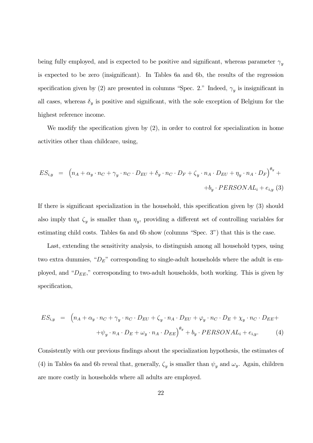being fully employed, and is expected to be positive and significant, whereas parameter  $\gamma_y$ is expected to be zero (insignificant). In Tables 6a and 6b, the results of the regression specification given by (2) are presented in columns "Spec. 2." Indeed,  $\gamma_u$  is insignificant in all cases, whereas  $\delta_y$  is positive and significant, with the sole exception of Belgium for the highest reference income.

We modify the specification given by  $(2)$ , in order to control for specialization in home activities other than childcare, using,

$$
ES_{i,y} = (n_A + \alpha_y \cdot n_C + \gamma_y \cdot n_C \cdot D_{EU} + \delta_y \cdot n_C \cdot D_F + \zeta_y \cdot n_A \cdot D_{EU} + \eta_y \cdot n_A \cdot D_F)^{\theta_y} +
$$
  
+ $b_y \cdot PERSONAL_i + e_{i,y}$  (3)

If there is significant specialization in the household, this specification given by (3) should also imply that  $\zeta_y$  is smaller than  $\eta_y$ , providing a different set of controlling variables for estimating child costs. Tables 6a and 6b show (columns "Spec. 3") that this is the case.

Last, extending the sensitivity analysis, to distinguish among all household types, using two extra dummies, " $D_E$ " corresponding to single-adult households where the adult is employed, and " $D_{EE}$ ," corresponding to two-adult households, both working. This is given by specification,

$$
ES_{i,y} = (n_A + \alpha_y \cdot n_C + \gamma_y \cdot n_C \cdot D_{EU} + \zeta_y \cdot n_A \cdot D_{EU} + \varphi_y \cdot n_C \cdot D_E + \chi_y \cdot n_C \cdot D_{EE} +
$$
  
 
$$
+ \psi_y \cdot n_A \cdot D_E + \omega_y \cdot n_A \cdot D_{EE}\big)^{\theta_y} + b_y \cdot PERSONAL_i + e_{i,y}.
$$
 (4)

Consistently with our previous findings about the specialization hypothesis, the estimates of (4) in Tables 6a and 6b reveal that, generally,  $\zeta_y$  is smaller than  $\psi_y$  and  $\omega_y$ . Again, children are more costly in households where all adults are employed.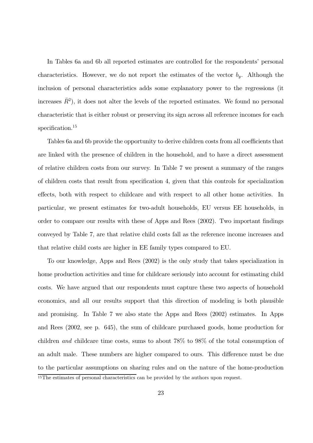In Tables 6a and 6b all reported estimates are controlled for the respondents' personal characteristics. However, we do not report the estimates of the vector  $b_y$ . Although the inclusion of personal characteristics adds some explanatory power to the regressions (it increases  $\bar{R}^2$ ), it does not alter the levels of the reported estimates. We found no personal characteristic that is either robust or preserving its sign across all reference incomes for each specification.<sup>15</sup>

Tables 6a and 6b provide the opportunity to derive children costs from all coefficients that are linked with the presence of children in the household, and to have a direct assessment of relative children costs from our survey. In Table 7 we present a summary of the ranges of children costs that result from specification 4, given that this controls for specialization effects, both with respect to childcare and with respect to all other home activities. In particular, we present estimates for two-adult households, EU versus EE households, in order to compare our results with these of Apps and Rees (2002). Two important findings conveyed by Table 7, are that relative child costs fall as the reference income increases and that relative child costs are higher in EE family types compared to EU.

To our knowledge, Apps and Rees (2002) is the only study that takes specialization in home production activities and time for childcare seriously into account for estimating child costs. We have argued that our respondents must capture these two aspects of household economics, and all our results support that this direction of modeling is both plausible and promising. In Table 7 we also state the Apps and Rees (2002) estimates. In Apps and Rees (2002, see p. 645), the sum of childcare purchased goods, home production for children and childcare time costs, sums to about 78% to 98% of the total consumption of an adult male. These numbers are higher compared to ours. This difference must be due to the particular assumptions on sharing rules and on the nature of the home-production

<sup>15</sup>The estimates of personal characteristics can be provided by the authors upon request.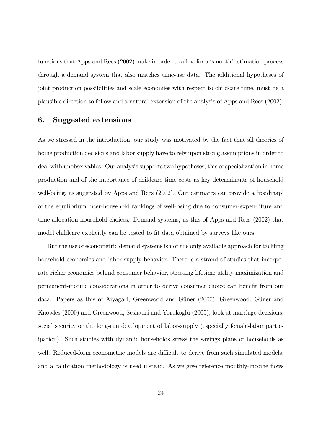functions that Apps and Rees (2002) make in order to allow for a 'smooth' estimation process through a demand system that also matches time-use data. The additional hypotheses of joint production possibilities and scale economies with respect to childcare time, must be a plausible direction to follow and a natural extension of the analysis of Apps and Rees (2002).

#### 6. Suggested extensions

As we stressed in the introduction, our study was motivated by the fact that all theories of home production decisions and labor supply have to rely upon strong assumptions in order to deal with unobservables. Our analysis supports two hypotheses, this of specialization in home production and of the importance of childcare-time costs as key determinants of household well-being, as suggested by Apps and Rees (2002). Our estimates can provide a 'roadmap' of the equilibrium inter-household rankings of well-being due to consumer-expenditure and time-allocation household choices. Demand systems, as this of Apps and Rees (2002) that model childcare explicitly can be tested to fit data obtained by surveys like ours.

But the use of econometric demand systems is not the only available approach for tackling household economics and labor-supply behavior. There is a strand of studies that incorporate richer economics behind consumer behavior, stressing lifetime utility maximization and permanent-income considerations in order to derive consumer choice can benefit from our data. Papers as this of Aiyagari, Greenwood and Güner (2000), Greenwood, Güner and Knowles (2000) and Greenwood, Seshadri and Yorukoglu (2005), look at marriage decisions, social security or the long-run development of labor-supply (especially female-labor participation). Such studies with dynamic households stress the savings plans of households as well. Reduced-form econometric models are difficult to derive from such simulated models, and a calibration methodology is used instead. As we give reference monthly-income flows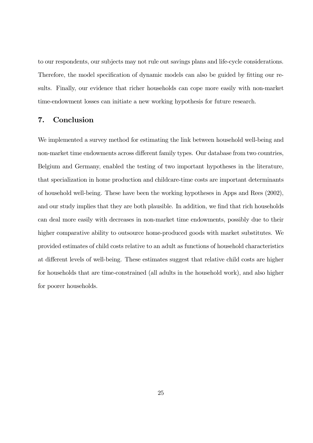to our respondents, our subjects may not rule out savings plans and life-cycle considerations. Therefore, the model specification of dynamic models can also be guided by fitting our results. Finally, our evidence that richer households can cope more easily with non-market time-endowment losses can initiate a new working hypothesis for future research.

#### 7. Conclusion

We implemented a survey method for estimating the link between household well-being and non-market time endowments across different family types. Our database from two countries, Belgium and Germany, enabled the testing of two important hypotheses in the literature, that specialization in home production and childcare-time costs are important determinants of household well-being. These have been the working hypotheses in Apps and Rees (2002), and our study implies that they are both plausible. In addition, we find that rich households can deal more easily with decreases in non-market time endowments, possibly due to their higher comparative ability to outsource home-produced goods with market substitutes. We provided estimates of child costs relative to an adult as functions of household characteristics at different levels of well-being. These estimates suggest that relative child costs are higher for households that are time-constrained (all adults in the household work), and also higher for poorer households.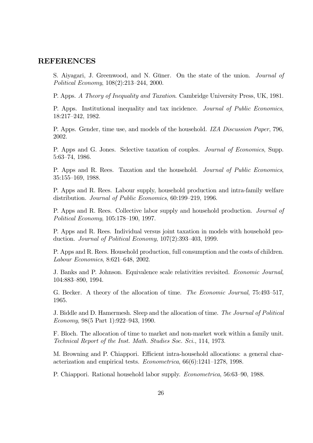#### REFERENCES

S. Aiyagari, J. Greenwood, and N. Güner. On the state of the union. Journal of Political Economy, 108(2):213—244, 2000.

P. Apps. A Theory of Inequality and Taxation. Cambridge University Press, UK, 1981.

P. Apps. Institutional inequality and tax incidence. Journal of Public Economics, 18:217—242, 1982.

P. Apps. Gender, time use, and models of the household. IZA Discussion Paper, 796, 2002.

P. Apps and G. Jones. Selective taxation of couples. Journal of Economics, Supp. 5:63—74, 1986.

P. Apps and R. Rees. Taxation and the household. *Journal of Public Economics*, 35:155—169, 1988.

P. Apps and R. Rees. Labour supply, household production and intra-family welfare distribution. Journal of Public Economics, 60:199—219, 1996.

P. Apps and R. Rees. Collective labor supply and household production. Journal of Political Economy, 105:178—190, 1997.

P. Apps and R. Rees. Individual versus joint taxation in models with household production. Journal of Political Economy, 107(2):393—403, 1999.

P. Apps and R. Rees. Household production, full consumption and the costs of children. Labour Economics, 8:621—648, 2002.

J. Banks and P. Johnson. Equivalence scale relativities revisited. Economic Journal, 104:883—890, 1994.

G. Becker. A theory of the allocation of time. The Economic Journal, 75:493—517, 1965.

J. Biddle and D. Hamermesh. Sleep and the allocation of time. The Journal of Political Economy, 98(5 Part 1):922—943, 1990.

F. Bloch. The allocation of time to market and non-market work within a family unit. Technical Report of the Inst. Math. Studies Soc. Sci., 114, 1973.

M. Browning and P. Chiappori. Efficient intra-household allocations: a general characterization and empirical tests. Econometrica, 66(6):1241—1278, 1998.

P. Chiappori. Rational household labor supply. Econometrica, 56:63—90, 1988.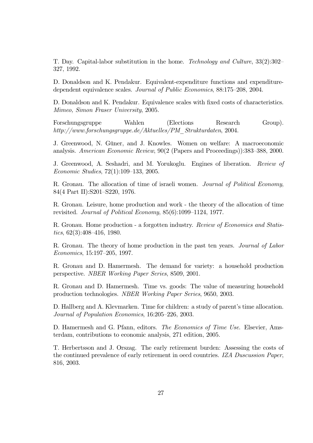T. Day. Capital-labor substitution in the home. Technology and Culture, 33(2):302— 327, 1992.

D. Donaldson and K. Pendakur. Equivalent-expenditure functions and expendituredependent equivalence scales. Journal of Public Economics, 88:175—208, 2004.

D. Donaldson and K. Pendakur. Equivalence scales with fixed costs of characteristics. Mimeo, Simon Fraser University, 2005.

Forschungsgruppe Wahlen (Elections Research Group). http://www.forschungsgruppe.de/Aktuelles/PM\_Strukturdaten, 2004.

J. Greenwood, N. Güner, and J. Knowles. Women on welfare: A macroeconomic analysis. American Economic Review, 90(2 (Papers and Proceedings)):383—388, 2000.

J. Greenwood, A. Seshadri, and M. Yorukoglu. Engines of liberation. Review of Economic Studies, 72(1):109—133, 2005.

R. Gronau. The allocation of time of israeli women. *Journal of Political Economy*, 84(4 Part II):S201—S220, 1976.

R. Gronau. Leisure, home production and work - the theory of the allocation of time revisited. Journal of Political Economy, 85(6):1099—1124, 1977.

R. Gronau. Home production - a forgotten industry. Review of Economics and Statistics, 62(3):408—416, 1980.

R. Gronau. The theory of home production in the past ten years. Journal of Labor Economics, 15:197—205, 1997.

R. Gronau and D. Hamermesh. The demand for variety: a household production perspective. NBER Working Paper Series, 8509, 2001.

R. Gronau and D. Hamermesh. Time vs. goods: The value of measuring household production technologies. NBER Working Paper Series, 9650, 2003.

D. Hallberg and A. Klevmarken. Time for children: a study of parent's time allocation. Journal of Population Economics, 16:205—226, 2003.

D. Hamermesh and G. Pfann, editors. *The Economics of Time Use*. Elsevier, Amsterdam, contributions to economic analysis, 271 edition, 2005.

T. Herbertsson and J. Orszag. The early retirement burden: Assessing the costs of the continued prevalence of early retirement in oecd countries. IZA Duscussion Paper, 816, 2003.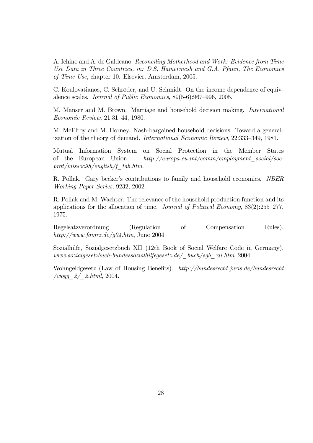A. Ichino and A. de Galdeano. Reconciling Motherhood and Work: Evidence from Time Use Data in Three Countries, in: D.S. Hamermesh and G.A. Pfann, The Economics of Time Use, chapter 10. Elsevier, Amsterdam, 2005.

C. Koulovatianos, C. Schröder, and U. Schmidt. On the income dependence of equivalence scales. Journal of Public Economics, 89(5-6):967—996, 2005.

M. Manser and M. Brown. Marriage and household decision making. International Economic Review, 21:31—44, 1980.

M. McElroy and M. Horney. Nash-bargained household decisions: Toward a generalization of the theory of demand. International Economic Review, 22:333—349, 1981.

Mutual Information System on Social Protection in the Member States of the European Union. http://europa.eu.int/comm/employment\_social/soc $prot/missoc98/english/f\_tab.htm.$ 

R. Pollak. Gary becker's contributions to family and household economics. NBER Working Paper Series, 9232, 2002.

R. Pollak and M. Wachter. The relevance of the household production function and its applications for the allocation of time. Journal of Political Economy,  $83(2):255-277$ , 1975.

Regelsatzverordnung (Regulation of Compensation Rules). http://www.famrz.de/g04.htm, June 2004.

Sozialhilfe, Sozialgesetzbuch XII (12th Book of Social Welfare Code in Germany).  $www.sozialgesetzbuch-bundessozialhilfegesetz.de/~~buch/sgb-rii.htm, 2004.$ 

Wohngeldgesetz (Law of Housing Benefits). http://bundesrecht.juris.de/bundesrecht  $/wogg_2/2.html$ , 2004.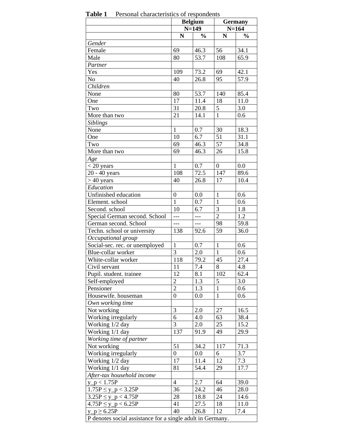|                                            |                  | <b>Belgium</b> |                  | <b>Germany</b> |  |  |
|--------------------------------------------|------------------|----------------|------------------|----------------|--|--|
|                                            |                  | $N=149$        |                  | $N = 164$      |  |  |
|                                            | N                | $\frac{0}{0}$  | N                | $\frac{0}{0}$  |  |  |
| Gender                                     |                  |                |                  |                |  |  |
| Female                                     | 69               | 46.3           | 56               | 34.1           |  |  |
| Male                                       | 80               | 53.7           | 108              | 65.9           |  |  |
| Partner                                    |                  |                |                  |                |  |  |
| Yes                                        | 109              | 73.2           | 69               | 42.1           |  |  |
| N <sub>o</sub>                             | 40               | 26.8           | 95               | 57.9           |  |  |
| Children                                   |                  |                |                  |                |  |  |
| None                                       | 80               | 53.7           | 140              | 85.4           |  |  |
| One                                        | 17               | 11.4           | 18               | 11.0           |  |  |
| Two                                        | 31               | 20.8           | 5                | 3.0            |  |  |
| More than two                              | 21               | 14.1           | $\mathbf{1}$     | 0.6            |  |  |
| <b>Siblings</b>                            |                  |                |                  |                |  |  |
| None                                       | $\mathbf{1}$     | 0.7            | 30               | 18.3           |  |  |
| One                                        | 10               | 6.7            | 51               | 31.1           |  |  |
| Two                                        | 69               | 46.3           | 57               | 34.8           |  |  |
| More than two                              | 69               | 46.3           | 26               | 15.8           |  |  |
| Age                                        |                  |                |                  |                |  |  |
| $<$ 20 years                               | $\mathbf{1}$     | 0.7            | $\boldsymbol{0}$ | 0.0            |  |  |
| 20 - 40 years                              | 108              | 72.5           | 147              | 89.6           |  |  |
| $>40$ years                                | 40               | 26.8           | 17               | 10.4           |  |  |
| Education                                  |                  |                |                  |                |  |  |
| Unfinished education                       | $\boldsymbol{0}$ | 0.0            | $\mathbf{1}$     | 0.6            |  |  |
| Element. school                            | $\mathbf{1}$     | 0.7            | $\mathbf{1}$     | 0.6            |  |  |
| Second. school                             | 10               | 6.7            | 3                | 1.8            |  |  |
| Special German second. School              | $\overline{a}$   | $---$          | $\overline{2}$   | 1.2            |  |  |
| German second. School                      | $---$            | $---$          | 98               | 59.8           |  |  |
| Techn. school or university                | 138              | 92.6           | 59               | 36.0           |  |  |
| Occupational group                         |                  |                |                  |                |  |  |
| Social-sec. rec. or unemployed             | $\mathbf{1}$     | 0.7            | $\mathbf{1}$     | 0.6            |  |  |
| Blue-collar worker                         | 3                | 2.0            | $\mathbf{1}$     | 0.6            |  |  |
| White-collar worker                        | 118              | 79.2           | 45               | 27.4           |  |  |
| Civil servant                              | 11               | 7.4            | $8\,$            | 4.8            |  |  |
| Pupil. student. trainee                    | 12               | 8.1            | 102              | 62.4           |  |  |
| Self-employed                              | $\overline{2}$   | 1.3            | 5                | 3.0            |  |  |
| Pensioner                                  | $\overline{2}$   | 1.3            | $\mathbf{1}$     | 0.6            |  |  |
| Housewife. houseman                        | $\boldsymbol{0}$ | 0.0            | $\mathbf{1}$     | 0.6            |  |  |
| Own working time                           |                  |                |                  |                |  |  |
| Not working                                | 3                | 2.0            | 27               | 16.5           |  |  |
| Working irregularly                        | 6                | 4.0            | 63               | 38.4           |  |  |
| Working 1/2 day                            | 3                | 2.0            | 25               | 15.2           |  |  |
| Working 1/1 day                            | 137              | 91.9           | 49               | 29.9           |  |  |
| Working time of partner                    |                  |                |                  |                |  |  |
| Not working                                | 51               | 34.2           | 117              | 71.3           |  |  |
| Working irregularly                        | 0                | $0.0\,$        | 6                | 3.7            |  |  |
| Working 1/2 day                            | 17               | 11.4           | 12               | 7.3            |  |  |
| Working 1/1 day                            | 81               | 54.4           | 29               | 17.7           |  |  |
| After-tax household income                 |                  |                |                  |                |  |  |
| $y_p < 1.75P$                              | $\overline{4}$   | 2.7            | 64               | 39.0           |  |  |
| $1.75P \le y_p < 3.25P$                    | 36               | 24.2           | 46               | 28.0           |  |  |
|                                            |                  |                |                  |                |  |  |
|                                            |                  |                |                  |                |  |  |
| $3.25P \le y_p < 4.75P$                    | 28               | 18.8           | 24               | 14.6           |  |  |
| $4.75P \le y_p < 6.25P$<br>$y_p \ge 6.25P$ | 41<br>40         | 27.5<br>26.8   | 18<br>12         | 11.0<br>7.4    |  |  |

 **Table 1** Personal characteristics of respondents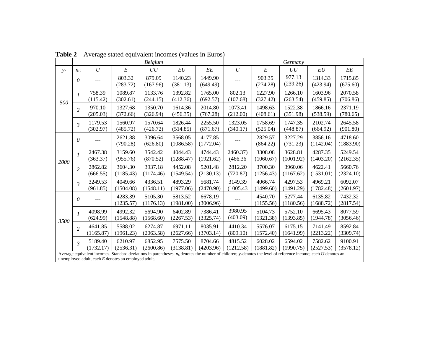|       |                |                      |                                                                                                                                                                                                                               | <b>Belgium</b>       |                      |                      | Germany              |                      |                      |                      |                      |  |
|-------|----------------|----------------------|-------------------------------------------------------------------------------------------------------------------------------------------------------------------------------------------------------------------------------|----------------------|----------------------|----------------------|----------------------|----------------------|----------------------|----------------------|----------------------|--|
| $y_r$ | $n_C$          | $\boldsymbol{U}$     | $\cal E$                                                                                                                                                                                                                      | UU                   | $\cal{E}U$           | $\cal{E}\cal{E}$     | $\boldsymbol{U}$     | E                    | UU                   | EU                   | $\it EE$             |  |
|       | 0              | ---                  | 803.32<br>(283.72)                                                                                                                                                                                                            | 879.09<br>(167.96)   | 1140.23<br>(381.13)  | 1449.90<br>(649.49)  |                      | 903.35<br>(274.28)   | 977.13<br>(239.26)   | 1314.33<br>(423.94)  | 1715.85<br>(675.60)  |  |
| 500   | 1              | 758.39<br>(115.42)   | 1089.87<br>(302.61)                                                                                                                                                                                                           | 1133.76<br>(244.15)  | 1392.82<br>(412.36)  | 1765.00<br>(692.57)  | 802.13<br>(107.68)   | 1227.90<br>(327.42)  | 1266.10<br>(263.54)  | 1603.96<br>(459.85)  | 2070.58<br>(706.86)  |  |
|       | $\overline{2}$ | 970.10<br>(205.03)   | 1327.68<br>(372.66)                                                                                                                                                                                                           | 1350.70<br>(326.94)  | 1614.36<br>(456.35)  | 2014.80<br>(767.28)  | 1073.41<br>(212.00)  | 1498.63<br>(408.61)  | 1522.38<br>(351.98)  | 1866.16<br>(538.59)  | 2371.19<br>(780.65)  |  |
|       | $\mathfrak{Z}$ | 1179.53<br>(302.97)  | 1560.97<br>(485.72)                                                                                                                                                                                                           | 1570.64<br>(426.72)  | 1826.44<br>(514.85)  | 2255.50<br>(871.67)  | 1323.05<br>(340.17)  | 1758.69<br>(525.04)  | 1747.35<br>(448.87)  | 2102.74<br>(664.92)  | 2645.58<br>(901.80)  |  |
| 2000  | 0              |                      | 2621.88<br>(790.28)                                                                                                                                                                                                           | 3096.64<br>(626.80)  | 3568.05<br>(1086.58) | 4177.85<br>(1772.04) |                      | 2829.57<br>(864.22)  | 3227.29<br>(731.23)  | 3856.16<br>(1142.04) | 4718.60<br>(1883.90) |  |
|       | $\mathcal{I}$  | 2467.38<br>(363.37)  | 3159.60<br>(955.76)                                                                                                                                                                                                           | 3542.42<br>(870.52)  | 4044.43<br>(1288.47) | 4744.43<br>(1921.62) | 2460.37)<br>(466.36) | 3308.08<br>(1060.67) | 3628.81<br>(1001.92) | 4287.35<br>(1403.20) | 5249.54<br>(2162.35) |  |
|       | $\overline{2}$ | 2862.82<br>(666.55)  | 3604.30<br>(1185.43)                                                                                                                                                                                                          | 3937.18<br>(1174.46) | 4452.08<br>(1549.54) | 5201.48<br>(2130.13) | 2812.20<br>(720.87)  | 3700.30<br>(1256.43) | 3960.06<br>(1167.62) | 4622.41<br>(1531.01) | 5660.76<br>(2324.10) |  |
|       | 3              | 3249.53<br>(961.85)  | 4049.66<br>(1504.08)                                                                                                                                                                                                          | 4336.51<br>(1548.11) | 4893.29<br>(1977.06) | 5681.74<br>(2470.90) | 3149.39<br>(1005.43) | 4066.74<br>(1499.60) | 4297.53<br>(1491.29) | 4969.21<br>(1782.48) | 6092.07<br>(2601.97) |  |
|       | 0              | $---$                | 4283.39<br>(1235.57)                                                                                                                                                                                                          | 5105.30<br>(1176.13) | 5813.52<br>(1981.00) | 6678.19<br>(3006.96) | $---$                | 4540.70<br>(1155.56) | 5277.44<br>(1180.56) | 6135.82<br>(1688.72) | 7432.32<br>(2817.54) |  |
| 3500  | $\mathcal{I}$  | 4098.99<br>(624.99)  | 4992.32<br>(1548.88)                                                                                                                                                                                                          | 5694.90<br>(1568.60) | 6402.89<br>(2267.53) | 7386.41<br>(3325.74) | 3980.95<br>(403.09)  | 5104.73<br>(1321.38) | 5752.10<br>(1393.85) | 6695.43<br>(1944.78) | 8077.59<br>(3056.46) |  |
|       | $\overline{2}$ | 4641.85<br>(1165.87) | 5588.02<br>(1961.23)                                                                                                                                                                                                          | 6274.87<br>(2063.58) | 6971.11<br>(2627.66) | 8035.91<br>(3703.14) | 4410.34<br>(809.10)  | 5576.07<br>(1572.40) | 6175.15<br>(1641.99) | 7141.49<br>(2213.22) | 8592.84<br>(3309.74) |  |
|       | $\mathfrak{Z}$ | 5189.40<br>(1732.17) | 6210.97<br>(2536.31)                                                                                                                                                                                                          | 6852.95<br>(2600.86) | 7575.50<br>(3138.81) | 8704.66<br>(4203.96) | 4815.52<br>(1212.58) | 6028.02<br>(1881.82) | 6594.02<br>(1990.75) | 7582.62<br>(2527.53) | 9100.91<br>(3578.12) |  |
|       |                |                      | Average equivalent incomes. Standard deviations in parentheses. $n_c$ denotes the number of children; $v_r$ denotes the level of reference income; each U denotes an<br>unemployed adult, each $E$ denotes an employed adult. |                      |                      |                      |                      |                      |                      |                      |                      |  |

 **Table 2** – Average stated equivalent incomes (values in Euros)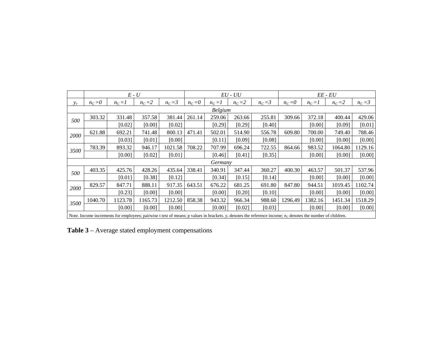|       |                | $E - U$   |         |           |           |           | $EU$ - $UU$ |                                                                                                                                                                  |           |           | $EE$ - $EU$ |           |
|-------|----------------|-----------|---------|-----------|-----------|-----------|-------------|------------------------------------------------------------------------------------------------------------------------------------------------------------------|-----------|-----------|-------------|-----------|
| $y_r$ | $n_c=0$        | $n_c = I$ | $n_c=2$ | $n_c = 3$ | $n_C = 0$ | $n_c = I$ | $n_c = 2$   | $n_c = 3$                                                                                                                                                        | $n_C = 0$ | $n_c = I$ | $n_c=2$     | $n_c = 3$ |
|       | <b>Belgium</b> |           |         |           |           |           |             |                                                                                                                                                                  |           |           |             |           |
| 500   | 303.32         | 331.48    | 357.58  | 381.44    | 261.14    | 259.06    | 263.66      | 255.81                                                                                                                                                           | 309.66    | 372.18    | 400.44      | 429.06    |
|       |                | [0.02]    | [0.00]  | [0.02]    |           | [0.29]    | [0.29]      | [0.40]                                                                                                                                                           |           | [0.00]    | [0.09]      | [0.01]    |
| 2000  | 621.88         | 692.21    | 741.48  | 800.13    | 471.41    | 502.01    | 514.90      | 556.78                                                                                                                                                           | 609.80    | 700.00    | 749.40      | 788.46    |
|       |                | [0.03]    | [0.01]  | [0.00]    |           | [0.11]    | [0.09]      | [0.08]                                                                                                                                                           |           | [0.00]    | [0.00]      | [0.00]    |
| 3500  | 783.39         | 893.32    | 946.17  | 1021.58   | 708.22    | 707.99    | 696.24      | 722.55                                                                                                                                                           | 864.66    | 983.52    | 1064.80     | 1129.16   |
|       |                | [0.00]    | [0.02]  | [0.01]    |           | [0.46]    | [0.41]      | [0.35]                                                                                                                                                           |           | [0.00]    | [0.00]      | [0.00]    |
|       |                |           |         |           |           | Germany   |             |                                                                                                                                                                  |           |           |             |           |
| 500   | 403.35         | 425.76    | 428.26  | 435.64    | 338.41    | 340.91    | 347.44      | 360.27                                                                                                                                                           | 400.30    | 463.57    | 501.37      | 537.96    |
|       |                | [0.01]    | [0.38]  | [0.12]    |           | [0.34]    | [0.15]      | [0.14]                                                                                                                                                           |           | [0.00]    | [0.00]      | [0.00]    |
| 2000  | 829.57         | 847.71    | 888.11  | 917.35    | 643.51    | 676.22    | 681.25      | 691.80                                                                                                                                                           | 847.80    | 944.51    | 1019.45     | 1102.74   |
|       |                | [0.23]    | [0.00]  | [0.00]    |           | [0.00]    | [0.20]      | [0.10]                                                                                                                                                           |           | [0.00]    | [0.00]      | [0.00]    |
| 3500  | 1040.70        | 1123.78   | 1165.73 | 1212.50   | 858.38    | 943.32    | 966.34      | 988.60                                                                                                                                                           | 1296.49   | 1382.16   | 1451.34     | 1518.29   |
|       |                | [0.00]    | [0.00]  | [0.00]    |           | [0.00]    | [0.02]      | [0.03]                                                                                                                                                           |           | [0.00]    | [0.00]      | [0.00]    |
|       |                |           |         |           |           |           |             | Note. Income increments for employees; pairwise t test of means; p values in brackets. $y_r$ denotes the reference income; $n_c$ denotes the number of children. |           |           |             |           |

 **Table 3** – Average stated employment compensations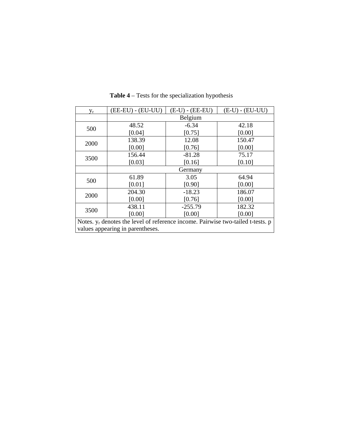| $y_r$                                                                              | (EE-EU) - (EU-UU)                | $(E-U)$ - $(EE-EU)$ | $(E-U) - (EU-UU)$ |  |  |  |  |  |
|------------------------------------------------------------------------------------|----------------------------------|---------------------|-------------------|--|--|--|--|--|
|                                                                                    |                                  | Belgium             |                   |  |  |  |  |  |
| 500                                                                                | 48.52                            | $-6.34$             | 42.18             |  |  |  |  |  |
|                                                                                    | [0.04]                           | [0.75]              | [0.00]            |  |  |  |  |  |
| 2000                                                                               | 138.39                           | 12.08               | 150.47            |  |  |  |  |  |
|                                                                                    | [0.00]                           | [0.76]              | [0.00]            |  |  |  |  |  |
| 3500                                                                               | 156.44                           | $-81.28$            | 75.17             |  |  |  |  |  |
|                                                                                    | [0.03]                           | [0.16]              | [0.10]            |  |  |  |  |  |
|                                                                                    | Germany                          |                     |                   |  |  |  |  |  |
| 500                                                                                | 61.89                            | 3.05                | 64.94             |  |  |  |  |  |
|                                                                                    | [0.01]                           | [0.90]              | [0.00]            |  |  |  |  |  |
| 2000                                                                               | 204.30                           | $-18.23$            | 186.07            |  |  |  |  |  |
|                                                                                    | [0.00]                           | [0.76]              | [0.00]            |  |  |  |  |  |
| 3500                                                                               | 438.11                           | $-255.79$           | 182.32            |  |  |  |  |  |
|                                                                                    | [0.00]                           | [0.00]              | [0.00]            |  |  |  |  |  |
| Notes. $y_r$ denotes the level of reference income. Pairwise two-tailed t-tests. p |                                  |                     |                   |  |  |  |  |  |
|                                                                                    | values appearing in parentheses. |                     |                   |  |  |  |  |  |

**Table 4** – Tests for the specialization hypothesis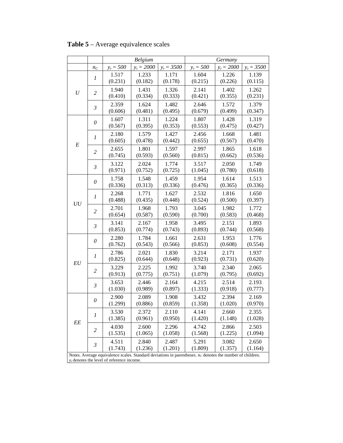|          |                |                                              | Belgium          |                  |                                                                                                              | Germany          |              |
|----------|----------------|----------------------------------------------|------------------|------------------|--------------------------------------------------------------------------------------------------------------|------------------|--------------|
|          | $n_C$          | $y_r = 500$                                  | $y_r = 2000$     | $y_r = 3500$     | $y_r = 500$                                                                                                  | $y_r = 2000$     | $y_r = 3500$ |
|          | 1              | 1.517                                        | 1.233            | 1.171            | 1.604                                                                                                        | 1.226            | 1.139        |
|          |                | (0.231)                                      | (0.182)          | (0.178)          | (0.215)                                                                                                      | (0.226)          | (0.115)      |
| U        | $\overline{c}$ | 1.940                                        | 1.431            | 1.326            | 2.141                                                                                                        | 1.402            | 1.262        |
|          |                | (0.410)                                      | (0.334)          | (0.333)          | (0.421)                                                                                                      | (0.355)          | (0.231)      |
|          | $\mathfrak{Z}$ | 2.359                                        | 1.624            | 1.482            | 2.646                                                                                                        | 1.572            | 1.379        |
|          |                | (0.606)                                      | (0.481)          | (0.495)          | (0.679)                                                                                                      | (0.499)          | (0.347)      |
|          | $\theta$       | 1.607                                        | 1.311            | 1.224            | 1.807                                                                                                        | 1.428            | 1.319        |
|          |                | (0.567)                                      | (0.395)          | (0.353)          | (0.553)                                                                                                      | (0.475)          | (0.427)      |
|          | 1              | 2.180                                        | 1.579            | 1.427            | 2.456                                                                                                        | 1.668            | 1.481        |
| $\cal E$ |                | (0.605)                                      | (0.478)          | (0.442)          | (0.655)                                                                                                      | (0.567)          | (0.470)      |
|          | $\overline{c}$ | 2.655                                        | 1.801            | 1.597            | 2.997                                                                                                        | 1.865            | 1.618        |
|          |                | (0.745)                                      | (0.593)          | (0.560)          | (0.815)                                                                                                      | (0.662)          | (0.536)      |
|          | $\mathfrak{Z}$ | 3.122                                        | 2.024            | 1.774            | 3.517                                                                                                        | 2.050            | 1.749        |
|          |                | (0.971)                                      | (0.752)          | (0.725)          | (1.045)                                                                                                      | (0.780)          | (0.618)      |
|          | $\theta$       | 1.758                                        | 1.548            | 1.459            | 1.954                                                                                                        | 1.614            | 1.513        |
| UU       |                | (0.336)                                      | (0.313)          | (0.336)          | (0.476)                                                                                                      | (0.365)          | (0.336)      |
|          | 1              | 2.268                                        | 1.771            | 1.627            | 2.532                                                                                                        | 1.816            | 1.650        |
|          |                | (0.488)                                      | (0.435)          | (0.448)          | (0.524)                                                                                                      | (0.500)          | (0.397)      |
|          | 2              | 2.701                                        | 1.968            | 1.793            | 3.045                                                                                                        | 1.982            | 1.772        |
|          |                | (0.654)                                      | (0.587)          | (0.590)          | (0.700)                                                                                                      | (0.583)          | (0.468)      |
|          | $\mathfrak{Z}$ | 3.141                                        | 2.167            | 1.958            | 3.495                                                                                                        | 2.151            | 1.893        |
|          |                | (0.853)                                      | (0.774)          | (0.743)          | (0.893)                                                                                                      | (0.744)          | (0.568)      |
|          |                | 2.280                                        | 1.784            | 1.661            | 2.631                                                                                                        | 1.953            | 1.776        |
|          | $\theta$       | (0.762)                                      | (0.543)          | (0.566)          | (0.853)                                                                                                      | (0.608)          | (0.554)      |
|          |                | 2.786                                        | 2.021            | 1.830            | 3.214                                                                                                        | 2.171            | 1.937        |
|          | 1              | (0.825)                                      | (0.644)          | (0.648)          | (0.923)                                                                                                      | (0.731)          | (0.620)      |
| EU       |                | 3.229                                        | 2.225            | 1.992            | 3.740                                                                                                        | 2.340            | 2.065        |
|          | $\overline{c}$ | (0.913)                                      | (0.775)          | (0.751)          | (1.079)                                                                                                      | (0.795)          | (0.692)      |
|          |                | 3.653                                        | 2.446            | 2.164            | 4.215                                                                                                        | 2.514            | 2.193        |
|          | $\mathfrak{Z}$ | (1.030)                                      | (0.989)          | (0.897)          | (1.333)                                                                                                      | (0.918)          | (0.777)      |
|          |                | 2.900                                        | 2.089            | 1.908            | 3.432                                                                                                        | 2.394            | 2.169        |
|          | $\theta$       | (1.299)                                      | (0.886)          | (0.859)          | (1.358)                                                                                                      | (1.020)          | (0.970)      |
|          |                | 3.530                                        | 2.372            | 2.110            | 4.141                                                                                                        | 2.660            | 2.355        |
|          | 1              | (1.385)                                      | (0.961)          | (0.950)          | (1.420)                                                                                                      | (1.148)          | (1.028)      |
| EE       |                | 4.030                                        | 2.600            | 2.296            | 4.742                                                                                                        | 2.866            | 2.503        |
|          | 2              | (1.535)                                      | (1.065)          | (1.058)          | (1.568)                                                                                                      | (1.225)          | (1.094)      |
|          |                |                                              |                  |                  |                                                                                                              |                  |              |
|          | $\mathfrak{Z}$ | 4.511<br>(1.743)                             | 2.840<br>(1.236) | 2.487<br>(1.201) | 5.291<br>(1.809)                                                                                             | 3.082<br>(1.357) | 2.650        |
|          |                |                                              |                  |                  | Notes. Average equivalence scales. Standard deviations in parentheses. $n_c$ denotes the number of children. |                  | (1.164)      |
|          |                | $y_r$ denotes the level of reference income. |                  |                  |                                                                                                              |                  |              |

 **Table 5** – Average equivalence scales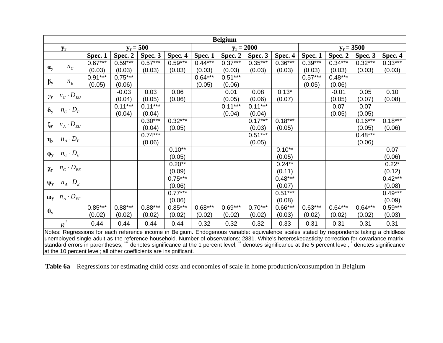|                  |                                                                                                                                           |           |                                                                                                                         |             |           |           | <b>Belgium</b> |              |           |           |           |              |           |
|------------------|-------------------------------------------------------------------------------------------------------------------------------------------|-----------|-------------------------------------------------------------------------------------------------------------------------|-------------|-----------|-----------|----------------|--------------|-----------|-----------|-----------|--------------|-----------|
|                  | $y_r$                                                                                                                                     |           |                                                                                                                         | $y_r = 500$ |           |           |                | $y_r = 2000$ |           |           |           | $y_r = 3500$ |           |
|                  |                                                                                                                                           | Spec. 1   | Spec. 2                                                                                                                 | Spec. 3     | Spec. 4   | Spec. 1   | Spec. 2        | Spec. 3      | Spec. 4   | Spec. 1   | Spec. 2   | Spec. 3      | Spec. 4   |
|                  |                                                                                                                                           | $0.67***$ | $0.59***$                                                                                                               | $0.57***$   | $0.59***$ | $0.44***$ | $0.37***$      | $0.35***$    | $0.36***$ | $0.39***$ | $0.34***$ | $0.32***$    | $0.33***$ |
| $\alpha_{y}$     | $n_C$                                                                                                                                     | (0.03)    | (0.03)                                                                                                                  | (0.03)      | (0.03)    | (0.03)    | (0.03)         | (0.03)       | (0.03)    | (0.03)    | (0.03)    | (0.03)       | (0.03)    |
|                  |                                                                                                                                           | $0.91***$ | $0.75***$                                                                                                               |             |           | $0.64***$ | $0.51***$      |              |           | $0.57***$ | $0.48***$ |              |           |
| $\beta_y$        | $n_E$                                                                                                                                     | (0.05)    | (0.06)                                                                                                                  |             |           | (0.05)    | (0.06)         |              |           | (0.05)    | (0.06)    |              |           |
|                  | $n_C \cdot D_{EU}$                                                                                                                        |           | $-0.03$                                                                                                                 | 0.03        | 0.06      |           | 0.01           | 0.08         | $0.13*$   |           | $-0.01$   | 0.05         | 0.10      |
| $\gamma_{y}$     |                                                                                                                                           |           | (0.04)                                                                                                                  | (0.05)      | (0.06)    |           | (0.05)         | (0.06)       | (0.07)    |           | (0.05)    | (0.07)       | (0.08)    |
| $\delta_{y}$     | $n_C \cdot D_F$                                                                                                                           |           | $0.11***$                                                                                                               | $0.11***$   |           |           | $0.11***$      | $0.11***$    |           |           | 0.07      | 0.07         |           |
|                  |                                                                                                                                           |           | (0.04)                                                                                                                  | (0.04)      |           |           | (0.04)         | (0.04)       |           |           | (0.05)    | (0.05)       |           |
| $\zeta_{\rm y}$  | $n_{\scriptscriptstyle A} \cdot D_{\scriptscriptstyle EU}$                                                                                |           |                                                                                                                         | $0.30***$   | $0.32***$ |           |                | $0.17***$    | $0.18***$ |           |           | $0.16***$    | $0.18***$ |
|                  |                                                                                                                                           |           |                                                                                                                         | (0.04)      | (0.05)    |           |                | (0.03)       | (0.05)    |           |           | (0.05)       | (0.06)    |
|                  | $n_A \cdot D_F$                                                                                                                           |           |                                                                                                                         | $0.74***$   |           |           |                | $0.51***$    |           |           |           | $0.48***$    |           |
| $\eta_y$         |                                                                                                                                           |           |                                                                                                                         | (0.06)      |           |           |                | (0.05)       |           |           |           | (0.06)       |           |
|                  | $n_C \cdot D_E$                                                                                                                           |           |                                                                                                                         |             | $0.10**$  |           |                |              | $0.10**$  |           |           |              | 0.07      |
| $\varphi_y$      |                                                                                                                                           |           |                                                                                                                         |             | (0.05)    |           |                |              | (0.05)    |           |           |              | (0.06)    |
|                  | $n_C \cdot D_{EE}$                                                                                                                        |           |                                                                                                                         |             | $0.20**$  |           |                |              | $0.24***$ |           |           |              | $0.22*$   |
| $\chi_{y}$       |                                                                                                                                           |           |                                                                                                                         |             | (0.09)    |           |                |              | (0.11)    |           |           |              | (0.12)    |
|                  | $n_A \cdot D_E$                                                                                                                           |           |                                                                                                                         |             | $0.75***$ |           |                |              | $0.48***$ |           |           |              | $0.42***$ |
| $\Psi_y$         |                                                                                                                                           |           |                                                                                                                         |             | (0.06)    |           |                |              | (0.07)    |           |           |              | (0.08)    |
|                  |                                                                                                                                           |           |                                                                                                                         |             | $0.77***$ |           |                |              | $0.51***$ |           |           |              | $0.49***$ |
| $\omega_{\rm v}$ | $n_A \cdot D_{EE}$                                                                                                                        |           |                                                                                                                         |             | (0.06)    |           |                |              | (0.08)    |           |           |              | (0.09)    |
| $\theta_y$       |                                                                                                                                           | $0.85***$ | $0.88***$                                                                                                               | $0.88***$   | $0.85***$ | $0.68***$ | $0.69***$      | $0.70***$    | $0.66***$ | $0.63***$ | $0.64***$ | $0.64***$    | $0.59***$ |
|                  |                                                                                                                                           | (0.02)    | (0.02)                                                                                                                  | (0.02)      | (0.02)    | (0.02)    | (0.02)         | (0.02)       | (0.03)    | (0.02)    | (0.02)    | (0.02)       | (0.03)    |
|                  | $\overline{R}^2$                                                                                                                          | 0.44      | 0.44                                                                                                                    | 0.44        | 0.44      | 0.32      | 0.32           | 0.32         | 0.33      | 0.31      | 0.31      | 0.31         | 0.31      |
|                  | Notes: Regressions for each reference income in Belgium. Endogenous variable: equivalence scales stated by respondents taking a childless |           | e de la composición de la confederación de la composición de la composición <b>const</b> ruídad de la composición de la |             |           |           |                |              |           |           |           |              |           |

unemployed single adult as the reference household. Number of observations: 2831. White's heteroskedasticity correction for covariance matrix; standard errors in parentheses; "" denotes significance at the 1 percent level; " denotes significance at the 5 percent level; Muenotes significance at the 10 percent level; all other coefficients are insignificant.

 **Table 6a** Regressions for estimating child costs and economies of scale in home production/consumption in Belgium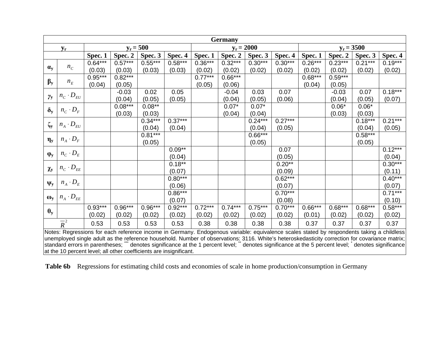|                 | <b>Germany</b>                                                                                                                            |           |           |             |           |           |           |              |           |           |           |              |           |
|-----------------|-------------------------------------------------------------------------------------------------------------------------------------------|-----------|-----------|-------------|-----------|-----------|-----------|--------------|-----------|-----------|-----------|--------------|-----------|
|                 | ${\bf y_r}$                                                                                                                               |           |           | $y_r = 500$ |           |           |           | $y_r = 2000$ |           |           |           | $y_r = 3500$ |           |
|                 |                                                                                                                                           | Spec. 1   | Spec. 2   | Spec. 3     | Spec. 4   | Spec. 1   | Spec. 2   | Spec. 3      | Spec. 4   | Spec.1    | Spec. 2   | Spec. 3      | Spec. 4   |
|                 |                                                                                                                                           | $0.64***$ | $0.57***$ | $0.55***$   | $0.58***$ | $0.36***$ | $0.32***$ | $0.30***$    | $0.30***$ | $0.26***$ | $0.23***$ | $0.21***$    | $0.19***$ |
| $\alpha_{y}$    | $n_C$                                                                                                                                     | (0.03)    | (0.03)    | (0.03)      | (0.03)    | (0.02)    | (0.02)    | (0.02)       | (0.02)    | (0.02)    | (0.02)    | (0.02)       | (0.02)    |
| $\beta_y$       |                                                                                                                                           | $0.95***$ | $0.82***$ |             |           | $0.77***$ | $0.66***$ |              |           | $0.68***$ | $0.59***$ |              |           |
|                 | $n_E$                                                                                                                                     | (0.04)    | (0.05)    |             |           | (0.05)    | (0.06)    |              |           | (0.04)    | (0.05)    |              |           |
| $\gamma_{y}$    | $n_C \cdot D_{EU}$                                                                                                                        |           | $-0.03$   | 0.02        | 0.05      |           | $-0.04$   | 0.03         | 0.07      |           | $-0.03$   | 0.07         | $0.18***$ |
|                 |                                                                                                                                           |           | (0.04)    | (0.05)      | (0.05)    |           | (0.04)    | (0.05)       | (0.06)    |           | (0.04)    | (0.05)       | (0.07)    |
| $\delta_{y}$    | $n_C \cdot D_F$                                                                                                                           |           | $0.08***$ | $0.08***$   |           |           | $0.07*$   | $0.07*$      |           |           | $0.06*$   | $0.06*$      |           |
|                 |                                                                                                                                           |           | (0.03)    | (0.03)      |           |           | (0.04)    | (0.04)       |           |           | (0.03)    | (0.03)       |           |
| $\zeta_{\rm y}$ | $n_{\scriptscriptstyle A} \cdot D_{\scriptscriptstyle EU}$                                                                                |           |           | $0.34***$   | $0.37***$ |           |           | $0.24***$    | $0.27***$ |           |           | $0.18***$    | $0.21***$ |
|                 |                                                                                                                                           |           |           | (0.04)      | (0.04)    |           |           | (0.04)       | (0.05)    |           |           | (0.04)       | (0.05)    |
| $\eta_y$        | $n_A \cdot D_F$                                                                                                                           |           |           | $0.81***$   |           |           |           | $0.66***$    |           |           |           | $0.58***$    |           |
|                 |                                                                                                                                           |           |           | (0.05)      |           |           |           | (0.05)       |           |           |           | (0.05)       |           |
| $\phi_y$        | $n_C \cdot D_E$                                                                                                                           |           |           |             | $0.09**$  |           |           |              | 0.07      |           |           |              | $0.12***$ |
|                 |                                                                                                                                           |           |           |             | (0.04)    |           |           |              | (0.05)    |           |           |              | (0.04)    |
|                 | $n_C \cdot D_{EE}$                                                                                                                        |           |           |             | $0.18***$ |           |           |              | $0.20***$ |           |           |              | $0.30***$ |
| $\chi_{y}$      |                                                                                                                                           |           |           |             | (0.07)    |           |           |              | (0.09)    |           |           |              | (0.11)    |
|                 | $n_A \cdot D_E$                                                                                                                           |           |           |             | $0.80***$ |           |           |              | $0.62***$ |           |           |              | $0.40***$ |
| $\Psi_y$        |                                                                                                                                           |           |           |             | (0.06)    |           |           |              | (0.07)    |           |           |              | (0.07)    |
| $\omega_{y}$    | $n_A \cdot D_{EE}$                                                                                                                        |           |           |             | $0.86***$ |           |           |              | $0.70***$ |           |           |              | $0.71***$ |
|                 |                                                                                                                                           |           |           |             | (0.07)    |           |           |              | (0.08)    |           |           |              | (0.10)    |
| $\theta_y$      |                                                                                                                                           | $0.93***$ | $0.96***$ | $0.96***$   | $0.92***$ | $0.72***$ | $0.74***$ | $0.75***$    | $0.70***$ | $0.66***$ | $0.68***$ | $0.68***$    | $0.58***$ |
|                 |                                                                                                                                           | (0.02)    | (0.02)    | (0.02)      | (0.02)    | (0.02)    | (0.02)    | (0.02)       | (0.02)    | (0.01)    | (0.02)    | (0.02)       | (0.02)    |
|                 | $\overline{R}^2$                                                                                                                          | 0.53      | 0.53      | 0.53        | 0.53      | 0.38      | 0.38      | 0.38         | 0.38      | 0.37      | 0.37      | 0.37         | 0.37      |
|                 | Notes: Regressions for each reference income in Germany. Endogenous variable: equivalence scales stated by respondents taking a childless |           |           |             |           |           |           |              |           |           |           |              |           |

unemployed single adult as the reference household. Number of observations: 3116. White's heteroskedasticity correction for covariance matrix; standard errors in parentheses; "" denotes significance at the 1 percent level; " denotes significance at the 5 percent level; Muenotes significance at the 10 percent level; all other coefficients are insignificant.

Table 6b Regressions for estimating child costs and economies of scale in home production/consumption in Germany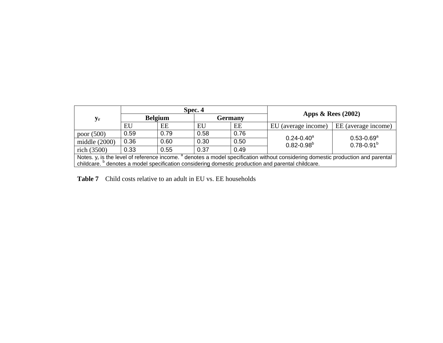|                                                                                                                                       |      |                | Spec. 4 |      |                                                                                                               |                                              |  |  |  |
|---------------------------------------------------------------------------------------------------------------------------------------|------|----------------|---------|------|---------------------------------------------------------------------------------------------------------------|----------------------------------------------|--|--|--|
| $y_{r}$                                                                                                                               |      | <b>Belgium</b> | Germany |      | Apps $\&$ Rees (2002)                                                                                         |                                              |  |  |  |
|                                                                                                                                       | EU   | EE             | EU      | EE   | EU (average income)                                                                                           | EE (average income)                          |  |  |  |
| poor $(500)$                                                                                                                          | 0.59 | 0.79           | 0.58    | 0.76 |                                                                                                               |                                              |  |  |  |
| middle $(2000)$                                                                                                                       | 0.36 | 0.60           | 0.30    | 0.50 | $0.24 - 0.40^a$<br>$0.82 - 0.98^b$                                                                            | $0.53 - 0.69$ <sup>a</sup><br>$0.78 - 0.91b$ |  |  |  |
| rich $(3500)$                                                                                                                         | 0.33 | 0.55           | 0.37    | 0.49 |                                                                                                               |                                              |  |  |  |
| Notes. $y_r$ is the level of reference income. $a$ denotes a model specification without considering domestic production and parental |      |                |         |      |                                                                                                               |                                              |  |  |  |
|                                                                                                                                       |      |                |         |      | childcare. <sup>b</sup> denotes a model specification considering domestic production and parental childcare. |                                              |  |  |  |

**Table 7** Child costs relative to an adult in EU vs. EE households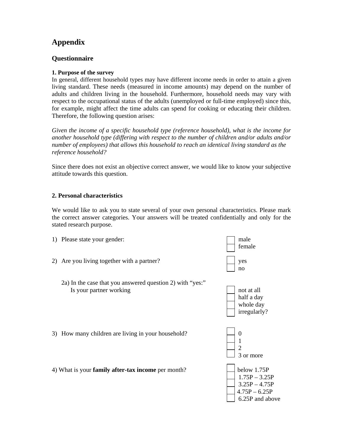## **Appendix**

#### **Questionnaire**

#### **1. Purpose of the survey**

In general, different household types may have different income needs in order to attain a given living standard. These needs (measured in income amounts) may depend on the number of adults and children living in the household. Furthermore, household needs may vary with respect to the occupational status of the adults (unemployed or full-time employed) since this, for example, might affect the time adults can spend for cooking or educating their children. Therefore, the following question arises:

*Given the income of a specific household type (reference household), what is the income for another household type (differing with respect to the number of children and/or adults and/or number of employees) that allows this household to reach an identical living standard as the reference household?* 

Since there does not exist an objective correct answer, we would like to know your subjective attitude towards this question.

#### **2. Personal characteristics**

We would like to ask you to state several of your own personal characteristics. Please mark the correct answer categories. Your answers will be treated confidentially and only for the stated research purpose.

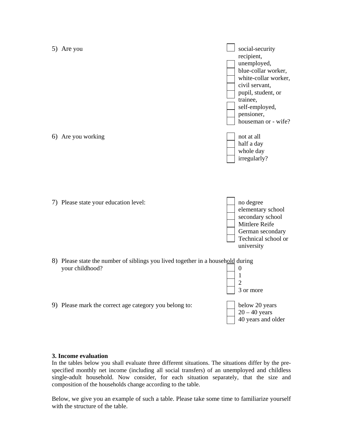

#### **3. Income evaluation**

In the tables below you shall evaluate three different situations. The situations differ by the prespecified monthly net income (including all social transfers) of an unemployed and childless single-adult household. Now consider, for each situation separately, that the size and composition of the households change according to the table.

Below, we give you an example of such a table. Please take some time to familiarize yourself with the structure of the table.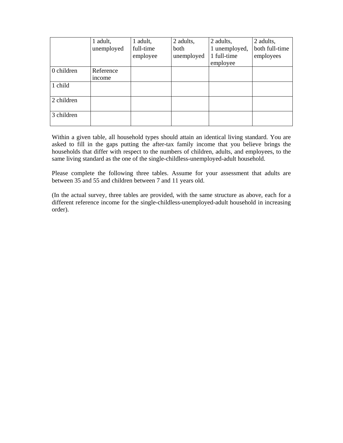|            | 1 adult,   | 1 adult,  | 2 adults,  | 2 adults,     | 2 adults,      |
|------------|------------|-----------|------------|---------------|----------------|
|            | unemployed | full-time | both       | 1 unemployed, | both full-time |
|            |            | employee  | unemployed | 1 full-time   | employees      |
|            |            |           |            | employee      |                |
| 0 children | Reference  |           |            |               |                |
|            | income     |           |            |               |                |
| 1 child    |            |           |            |               |                |
|            |            |           |            |               |                |
| 2 children |            |           |            |               |                |
|            |            |           |            |               |                |
| 3 children |            |           |            |               |                |
|            |            |           |            |               |                |

Within a given table, all household types should attain an identical living standard. You are asked to fill in the gaps putting the after-tax family income that you believe brings the households that differ with respect to the numbers of children, adults, and employees, to the same living standard as the one of the single-childless-unemployed-adult household.

Please complete the following three tables. Assume for your assessment that adults are between 35 and 55 and children between 7 and 11 years old.

(In the actual survey, three tables are provided, with the same structure as above, each for a different reference income for the single-childless-unemployed-adult household in increasing order).